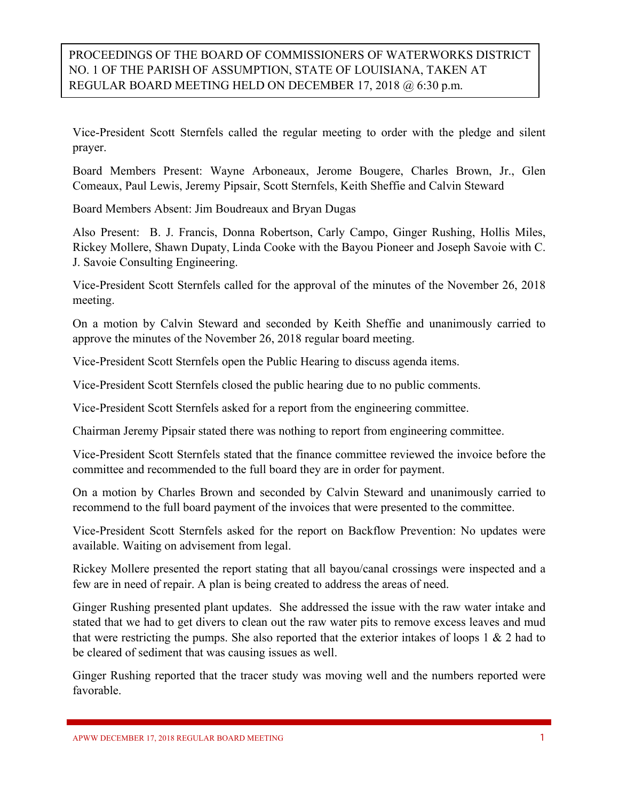## PROCEEDINGS OF THE BOARD OF COMMISSIONERS OF WATERWORKS DISTRICT NO. 1 OF THE PARISH OF ASSUMPTION, STATE OF LOUISIANA, TAKEN AT REGULAR BOARD MEETING HELD ON DECEMBER 17, 2018 @ 6:30 p.m.

Vice-President Scott Sternfels called the regular meeting to order with the pledge and silent prayer.

Board Members Present: Wayne Arboneaux, Jerome Bougere, Charles Brown, Jr., Glen Comeaux, Paul Lewis, Jeremy Pipsair, Scott Sternfels, Keith Sheffie and Calvin Steward

Board Members Absent: Jim Boudreaux and Bryan Dugas

Also Present: B. J. Francis, Donna Robertson, Carly Campo, Ginger Rushing, Hollis Miles, Rickey Mollere, Shawn Dupaty, Linda Cooke with the Bayou Pioneer and Joseph Savoie with C. J. Savoie Consulting Engineering.

Vice-President Scott Sternfels called for the approval of the minutes of the November 26, 2018 meeting.

On a motion by Calvin Steward and seconded by Keith Sheffie and unanimously carried to approve the minutes of the November 26, 2018 regular board meeting.

Vice-President Scott Sternfels open the Public Hearing to discuss agenda items.

Vice-President Scott Sternfels closed the public hearing due to no public comments.

Vice-President Scott Sternfels asked for a report from the engineering committee.

Chairman Jeremy Pipsair stated there was nothing to report from engineering committee.

Vice-President Scott Sternfels stated that the finance committee reviewed the invoice before the committee and recommended to the full board they are in order for payment.

On a motion by Charles Brown and seconded by Calvin Steward and unanimously carried to recommend to the full board payment of the invoices that were presented to the committee.

Vice-President Scott Sternfels asked for the report on Backflow Prevention: No updates were available. Waiting on advisement from legal.

Rickey Mollere presented the report stating that all bayou/canal crossings were inspected and a few are in need of repair. A plan is being created to address the areas of need.

Ginger Rushing presented plant updates. She addressed the issue with the raw water intake and stated that we had to get divers to clean out the raw water pits to remove excess leaves and mud that were restricting the pumps. She also reported that the exterior intakes of loops  $1 \& 2$  had to be cleared of sediment that was causing issues as well.

Ginger Rushing reported that the tracer study was moving well and the numbers reported were favorable.